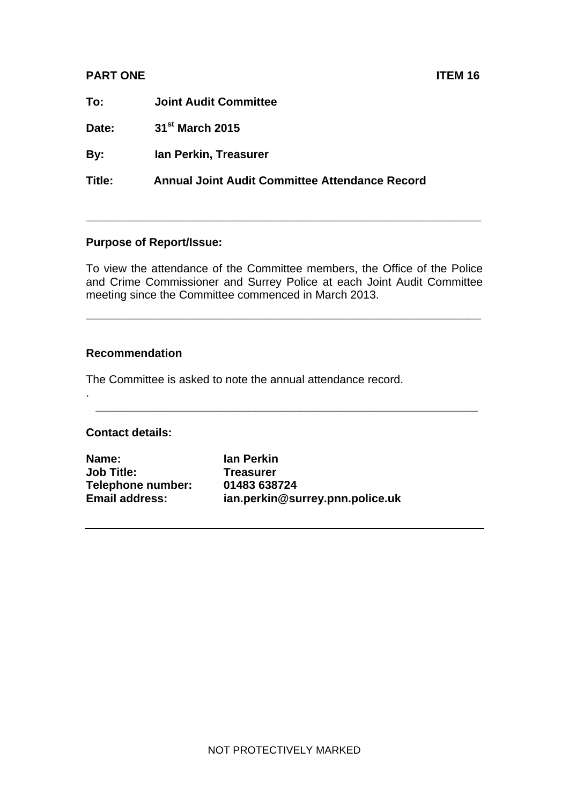## **PART ONE ITEM 16**

**To: Joint Audit Committee** 

**Date: 31st March 2015** 

**By: Ian Perkin, Treasurer** 

**Title: Annual Joint Audit Committee Attendance Record** 

## **Purpose of Report/Issue:**

To view the attendance of the Committee members, the Office of the Police and Crime Commissioner and Surrey Police at each Joint Audit Committee meeting since the Committee commenced in March 2013.

**\_\_\_\_\_\_\_\_\_\_\_\_\_\_\_\_\_\_\_\_\_\_\_\_\_\_\_\_\_\_\_\_\_\_\_\_\_\_\_\_\_\_\_\_\_\_\_\_\_\_\_\_\_\_\_\_\_\_\_\_\_\_** 

**\_\_\_\_\_\_\_\_\_\_\_\_\_\_\_\_\_\_\_\_\_\_\_\_\_\_\_\_\_\_\_\_\_\_\_\_\_\_\_\_\_\_\_\_\_\_\_\_\_\_\_\_\_\_\_\_\_\_\_\_** 

**\_\_\_\_\_\_\_\_\_\_\_\_\_\_\_\_\_\_\_\_\_\_\_\_\_\_\_\_\_\_\_\_\_\_\_\_\_\_\_\_\_\_\_\_\_\_\_\_\_\_\_\_\_\_\_\_\_\_\_\_\_\_** 

## **Recommendation**

The Committee is asked to note the annual attendance record.

## **Contact details:**

.

**Name: Ian Perkin Job Title: Treasurer Telephone number: 01483 638724** 

**Email address: ian.perkin@surrey.pnn.police.uk**